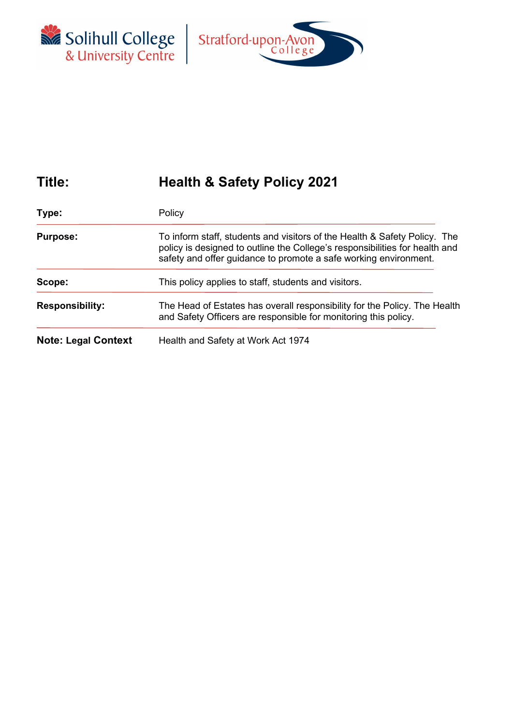



# **Title: Health & Safety Policy 2021**

| Type:                      | Policy                                                                                                                                                                                                                                                                               |  |  |
|----------------------------|--------------------------------------------------------------------------------------------------------------------------------------------------------------------------------------------------------------------------------------------------------------------------------------|--|--|
| <b>Purpose:</b>            | To inform staff, students and visitors of the Health & Safety Policy. The<br>policy is designed to outline the College's responsibilities for health and<br>safety and offer guidance to promote a safe working environment.<br>This policy applies to staff, students and visitors. |  |  |
| Scope:                     |                                                                                                                                                                                                                                                                                      |  |  |
| <b>Responsibility:</b>     | The Head of Estates has overall responsibility for the Policy. The Health<br>and Safety Officers are responsible for monitoring this policy.                                                                                                                                         |  |  |
| <b>Note: Legal Context</b> | Health and Safety at Work Act 1974                                                                                                                                                                                                                                                   |  |  |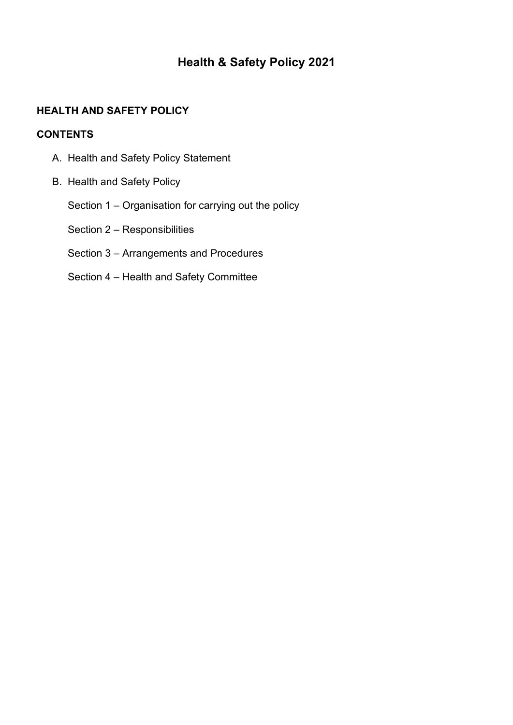## **Health & Safety Policy 2021**

## **HEALTH AND SAFETY POLICY**

#### **CONTENTS**

- A. Health and Safety Policy Statement
- B. Health and Safety Policy
	- Section 1 Organisation for carrying out the policy
	- Section 2 Responsibilities

## Section 3 – Arrangements and Procedures

Section 4 – Health and Safety Committee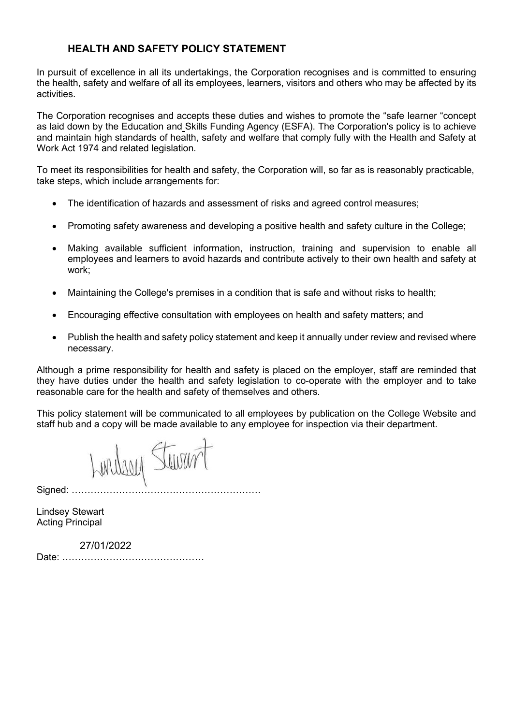## **HEALTH AND SAFETY POLICY STATEMENT**

In pursuit of excellence in all its undertakings, the Corporation recognises and is committed to ensuring the health, safety and welfare of all its employees, learners, visitors and others who may be affected by its activities.

The Corporation recognises and accepts these duties and wishes to promote the "safe learner "concept as laid down by the Education and Skills Funding Agency (ESFA). The Corporation's policy is to achieve and maintain high standards of health, safety and welfare that comply fully with the Health and Safety at Work Act 1974 and related legislation.

To meet its responsibilities for health and safety, the Corporation will, so far as is reasonably practicable, take steps, which include arrangements for:

- The identification of hazards and assessment of risks and agreed control measures;
- Promoting safety awareness and developing a positive health and safety culture in the College;
- Making available sufficient information, instruction, training and supervision to enable all employees and learners to avoid hazards and contribute actively to their own health and safety at work;
- Maintaining the College's premises in a condition that is safe and without risks to health;
- Encouraging effective consultation with employees on health and safety matters; and
- Publish the health and safety policy statement and keep it annually under review and revised where necessary.

Although a prime responsibility for health and safety is placed on the employer, staff are reminded that they have duties under the health and safety legislation to co-operate with the employer and to take reasonable care for the health and safety of themselves and others.

This policy statement will be communicated to all employees by publication on the College Website and staff hub and a copy will be made available to any employee for inspection via their department.

Lindson Stewart

Signed: ………

Lindsey Stewart Acting Principal

 27/01/2022 Date: ………………………………………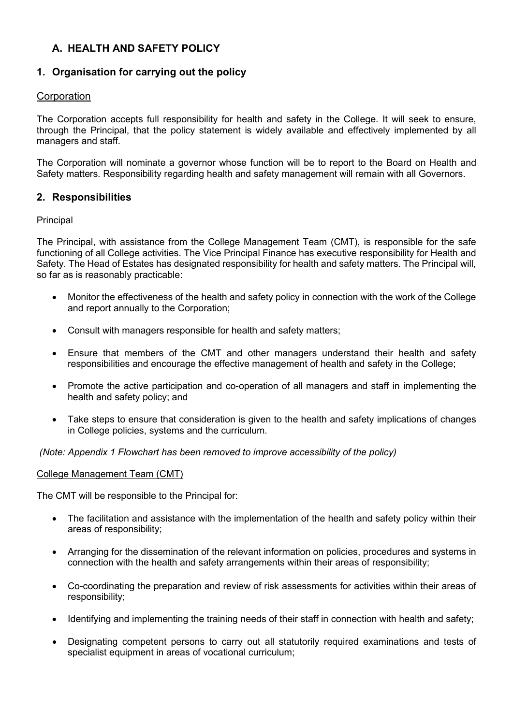## **A. HEALTH AND SAFETY POLICY**

## **1. Organisation for carrying out the policy**

### **Corporation**

The Corporation accepts full responsibility for health and safety in the College. It will seek to ensure, through the Principal, that the policy statement is widely available and effectively implemented by all managers and staff.

The Corporation will nominate a governor whose function will be to report to the Board on Health and Safety matters. Responsibility regarding health and safety management will remain with all Governors.

#### **2. Responsibilities**

#### Principal

The Principal, with assistance from the College Management Team (CMT), is responsible for the safe functioning of all College activities. The Vice Principal Finance has executive responsibility for Health and Safety. The Head of Estates has designated responsibility for health and safety matters. The Principal will, so far as is reasonably practicable:

- Monitor the effectiveness of the health and safety policy in connection with the work of the College and report annually to the Corporation;
- Consult with managers responsible for health and safety matters;
- Ensure that members of the CMT and other managers understand their health and safety responsibilities and encourage the effective management of health and safety in the College;
- Promote the active participation and co-operation of all managers and staff in implementing the health and safety policy; and
- Take steps to ensure that consideration is given to the health and safety implications of changes in College policies, systems and the curriculum.

*(Note: Appendix 1 Flowchart has been removed to improve accessibility of the policy)*

#### College Management Team (CMT)

The CMT will be responsible to the Principal for:

- The facilitation and assistance with the implementation of the health and safety policy within their areas of responsibility;
- Arranging for the dissemination of the relevant information on policies, procedures and systems in connection with the health and safety arrangements within their areas of responsibility;
- Co-coordinating the preparation and review of risk assessments for activities within their areas of responsibility;
- Identifying and implementing the training needs of their staff in connection with health and safety;
- Designating competent persons to carry out all statutorily required examinations and tests of specialist equipment in areas of vocational curriculum;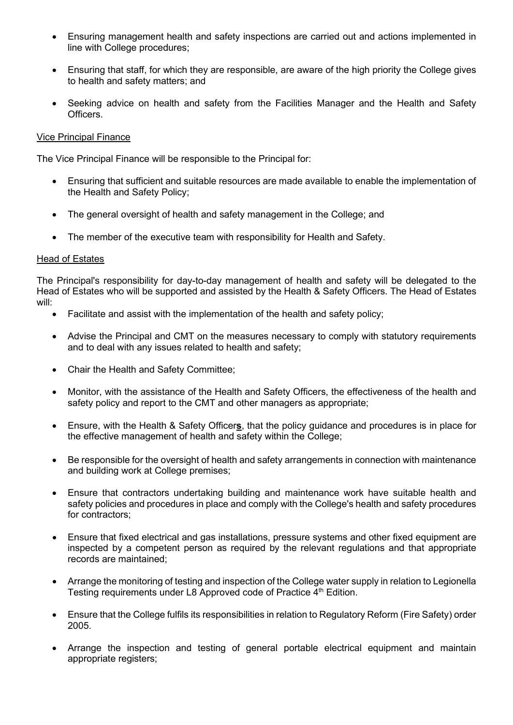- Ensuring management health and safety inspections are carried out and actions implemented in line with College procedures;
- Ensuring that staff, for which they are responsible, are aware of the high priority the College gives to health and safety matters; and
- Seeking advice on health and safety from the Facilities Manager and the Health and Safety **Officers**

#### Vice Principal Finance

The Vice Principal Finance will be responsible to the Principal for:

- Ensuring that sufficient and suitable resources are made available to enable the implementation of the Health and Safety Policy;
- The general oversight of health and safety management in the College; and
- The member of the executive team with responsibility for Health and Safety.

#### Head of Estates

The Principal's responsibility for day-to-day management of health and safety will be delegated to the Head of Estates who will be supported and assisted by the Health & Safety Officers. The Head of Estates will:

- Facilitate and assist with the implementation of the health and safety policy;
- Advise the Principal and CMT on the measures necessary to comply with statutory requirements and to deal with any issues related to health and safety;
- Chair the Health and Safety Committee;
- Monitor, with the assistance of the Health and Safety Officers, the effectiveness of the health and safety policy and report to the CMT and other managers as appropriate;
- Ensure, with the Health & Safety Officer**s**, that the policy guidance and procedures is in place for the effective management of health and safety within the College;
- Be responsible for the oversight of health and safety arrangements in connection with maintenance and building work at College premises;
- Ensure that contractors undertaking building and maintenance work have suitable health and safety policies and procedures in place and comply with the College's health and safety procedures for contractors:
- Ensure that fixed electrical and gas installations, pressure systems and other fixed equipment are inspected by a competent person as required by the relevant regulations and that appropriate records are maintained;
- Arrange the monitoring of testing and inspection of the College water supply in relation to Legionella Testing requirements under L8 Approved code of Practice 4<sup>th</sup> Edition.
- Ensure that the College fulfils its responsibilities in relation to Regulatory Reform (Fire Safety) order 2005.
- Arrange the inspection and testing of general portable electrical equipment and maintain appropriate registers;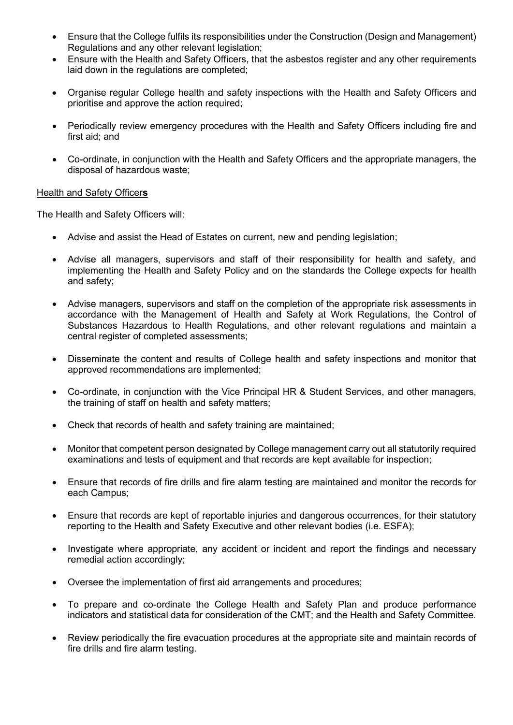- Ensure that the College fulfils its responsibilities under the Construction (Design and Management) Regulations and any other relevant legislation;
- Ensure with the Health and Safety Officers, that the asbestos register and any other requirements laid down in the regulations are completed;
- Organise regular College health and safety inspections with the Health and Safety Officers and prioritise and approve the action required;
- Periodically review emergency procedures with the Health and Safety Officers including fire and first aid; and
- Co-ordinate, in conjunction with the Health and Safety Officers and the appropriate managers, the disposal of hazardous waste;

#### Health and Safety Officer**s**

The Health and Safety Officers will:

- Advise and assist the Head of Estates on current, new and pending legislation;
- Advise all managers, supervisors and staff of their responsibility for health and safety, and implementing the Health and Safety Policy and on the standards the College expects for health and safety;
- Advise managers, supervisors and staff on the completion of the appropriate risk assessments in accordance with the Management of Health and Safety at Work Regulations, the Control of Substances Hazardous to Health Regulations, and other relevant regulations and maintain a central register of completed assessments;
- Disseminate the content and results of College health and safety inspections and monitor that approved recommendations are implemented;
- Co-ordinate, in conjunction with the Vice Principal HR & Student Services, and other managers, the training of staff on health and safety matters;
- Check that records of health and safety training are maintained;
- Monitor that competent person designated by College management carry out all statutorily required examinations and tests of equipment and that records are kept available for inspection;
- Ensure that records of fire drills and fire alarm testing are maintained and monitor the records for each Campus;
- Ensure that records are kept of reportable injuries and dangerous occurrences, for their statutory reporting to the Health and Safety Executive and other relevant bodies (i.e. ESFA);
- Investigate where appropriate, any accident or incident and report the findings and necessary remedial action accordingly;
- Oversee the implementation of first aid arrangements and procedures;
- To prepare and co-ordinate the College Health and Safety Plan and produce performance indicators and statistical data for consideration of the CMT; and the Health and Safety Committee.
- Review periodically the fire evacuation procedures at the appropriate site and maintain records of fire drills and fire alarm testing.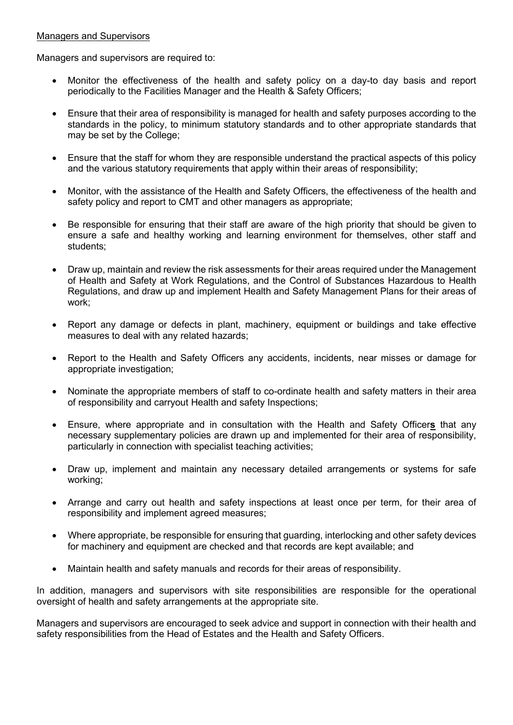#### Managers and Supervisors

Managers and supervisors are required to:

- Monitor the effectiveness of the health and safety policy on a day-to day basis and report periodically to the Facilities Manager and the Health & Safety Officers;
- Ensure that their area of responsibility is managed for health and safety purposes according to the standards in the policy, to minimum statutory standards and to other appropriate standards that may be set by the College;
- Ensure that the staff for whom they are responsible understand the practical aspects of this policy and the various statutory requirements that apply within their areas of responsibility;
- Monitor, with the assistance of the Health and Safety Officers, the effectiveness of the health and safety policy and report to CMT and other managers as appropriate;
- Be responsible for ensuring that their staff are aware of the high priority that should be given to ensure a safe and healthy working and learning environment for themselves, other staff and students;
- Draw up, maintain and review the risk assessments for their areas required under the Management of Health and Safety at Work Regulations, and the Control of Substances Hazardous to Health Regulations, and draw up and implement Health and Safety Management Plans for their areas of work;
- Report any damage or defects in plant, machinery, equipment or buildings and take effective measures to deal with any related hazards;
- Report to the Health and Safety Officers any accidents, incidents, near misses or damage for appropriate investigation;
- Nominate the appropriate members of staff to co-ordinate health and safety matters in their area of responsibility and carryout Health and safety Inspections;
- Ensure, where appropriate and in consultation with the Health and Safety Officer**s** that any necessary supplementary policies are drawn up and implemented for their area of responsibility, particularly in connection with specialist teaching activities;
- Draw up, implement and maintain any necessary detailed arrangements or systems for safe working;
- Arrange and carry out health and safety inspections at least once per term, for their area of responsibility and implement agreed measures;
- Where appropriate, be responsible for ensuring that guarding, interlocking and other safety devices for machinery and equipment are checked and that records are kept available; and
- Maintain health and safety manuals and records for their areas of responsibility.

In addition, managers and supervisors with site responsibilities are responsible for the operational oversight of health and safety arrangements at the appropriate site.

Managers and supervisors are encouraged to seek advice and support in connection with their health and safety responsibilities from the Head of Estates and the Health and Safety Officers.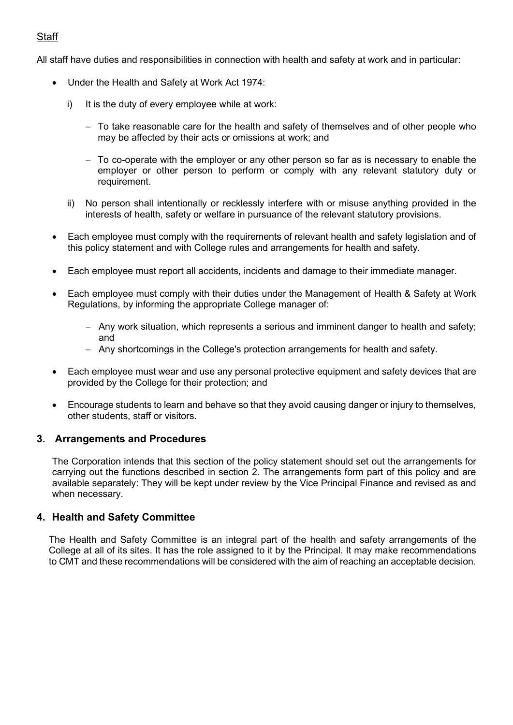## **Staff**

All staff have duties and responsibilities in connection with health and safety at work and in particular:

- Under the Health and Safety at Work Act 1974:
	- i) It is the duty of every employee while at work:
		- − To take reasonable care for the health and safety of themselves and of other people who may be affected by their acts or omissions at work; and
		- − To co-operate with the employer or any other person so far as is necessary to enable the employer or other person to perform or comply with any relevant statutory duty or requirement.
	- ii) No person shall intentionally or recklessly interfere with or misuse anything provided in the interests of health, safety or welfare in pursuance of the relevant statutory provisions.
- Each employee must comply with the requirements of relevant health and safety legislation and of this policy statement and with College rules and arrangements for health and safety.
- Each employee must report all accidents, incidents and damage to their immediate manager.
- Each employee must comply with their duties under the Management of Health & Safety at Work Regulations, by informing the appropriate College manager of:
	- − Any work situation, which represents a serious and imminent danger to health and safety; and
	- − Any shortcomings in the College's protection arrangements for health and safety.
- Each employee must wear and use any personal protective equipment and safety devices that are provided by the College for their protection; and
- Encourage students to learn and behave so that they avoid causing danger or injury to themselves, other students, staff or visitors.

#### **3. Arrangements and Procedures**

The Corporation intends that this section of the policy statement should set out the arrangements for carrying out the functions described in section 2. The arrangements form part of this policy and are available separately: They will be kept under review by the Vice Principal Finance and revised as and when necessary.

### **4. Health and Safety Committee**

The Health and Safety Committee is an integral part of the health and safety arrangements of the College at all of its sites. It has the role assigned to it by the Principal. It may make recommendations to CMT and these recommendations will be considered with the aim of reaching an acceptable decision.